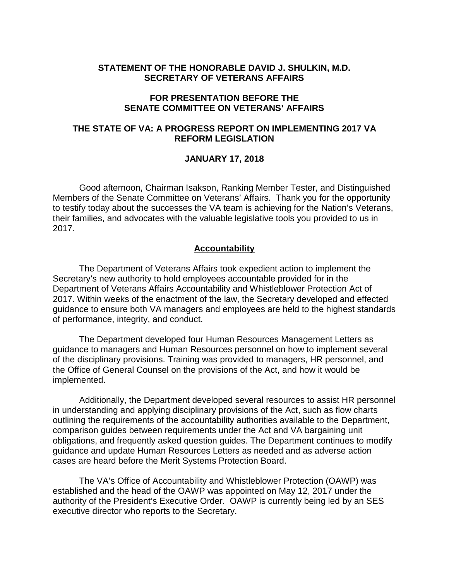## **STATEMENT OF THE HONORABLE DAVID J. SHULKIN, M.D. SECRETARY OF VETERANS AFFAIRS**

## **FOR PRESENTATION BEFORE THE SENATE COMMITTEE ON VETERANS' AFFAIRS**

## **THE STATE OF VA: A PROGRESS REPORT ON IMPLEMENTING 2017 VA REFORM LEGISLATION**

### **JANUARY 17, 2018**

Good afternoon, Chairman Isakson, Ranking Member Tester, and Distinguished Members of the Senate Committee on Veterans' Affairs. Thank you for the opportunity to testify today about the successes the VA team is achieving for the Nation's Veterans, their families, and advocates with the valuable legislative tools you provided to us in 2017.

### **Accountability**

The Department of Veterans Affairs took expedient action to implement the Secretary's new authority to hold employees accountable provided for in the Department of Veterans Affairs Accountability and Whistleblower Protection Act of 2017. Within weeks of the enactment of the law, the Secretary developed and effected guidance to ensure both VA managers and employees are held to the highest standards of performance, integrity, and conduct.

The Department developed four Human Resources Management Letters as guidance to managers and Human Resources personnel on how to implement several of the disciplinary provisions. Training was provided to managers, HR personnel, and the Office of General Counsel on the provisions of the Act, and how it would be implemented.

Additionally, the Department developed several resources to assist HR personnel in understanding and applying disciplinary provisions of the Act, such as flow charts outlining the requirements of the accountability authorities available to the Department, comparison guides between requirements under the Act and VA bargaining unit obligations, and frequently asked question guides. The Department continues to modify guidance and update Human Resources Letters as needed and as adverse action cases are heard before the Merit Systems Protection Board.

The VA's Office of Accountability and Whistleblower Protection (OAWP) was established and the head of the OAWP was appointed on May 12, 2017 under the authority of the President's Executive Order. OAWP is currently being led by an SES executive director who reports to the Secretary.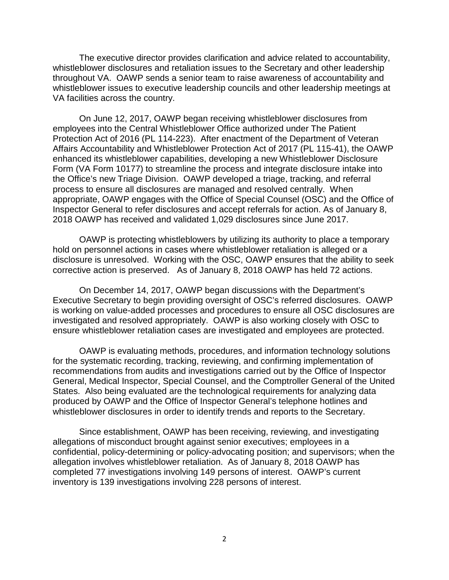The executive director provides clarification and advice related to accountability, whistleblower disclosures and retaliation issues to the Secretary and other leadership throughout VA. OAWP sends a senior team to raise awareness of accountability and whistleblower issues to executive leadership councils and other leadership meetings at VA facilities across the country.

On June 12, 2017, OAWP began receiving whistleblower disclosures from employees into the Central Whistleblower Office authorized under The Patient Protection Act of 2016 (PL 114-223). After enactment of the Department of Veteran Affairs Accountability and Whistleblower Protection Act of 2017 (PL 115-41), the OAWP enhanced its whistleblower capabilities, developing a new Whistleblower Disclosure Form (VA Form 10177) to streamline the process and integrate disclosure intake into the Office's new Triage Division. OAWP developed a triage, tracking, and referral process to ensure all disclosures are managed and resolved centrally. When appropriate, OAWP engages with the Office of Special Counsel (OSC) and the Office of Inspector General to refer disclosures and accept referrals for action. As of January 8, 2018 OAWP has received and validated 1,029 disclosures since June 2017.

OAWP is protecting whistleblowers by utilizing its authority to place a temporary hold on personnel actions in cases where whistleblower retaliation is alleged or a disclosure is unresolved. Working with the OSC, OAWP ensures that the ability to seek corrective action is preserved. As of January 8, 2018 OAWP has held 72 actions.

On December 14, 2017, OAWP began discussions with the Department's Executive Secretary to begin providing oversight of OSC's referred disclosures. OAWP is working on value-added processes and procedures to ensure all OSC disclosures are investigated and resolved appropriately. OAWP is also working closely with OSC to ensure whistleblower retaliation cases are investigated and employees are protected.

OAWP is evaluating methods, procedures, and information technology solutions for the systematic recording, tracking, reviewing, and confirming implementation of recommendations from audits and investigations carried out by the Office of Inspector General, Medical Inspector, Special Counsel, and the Comptroller General of the United States. Also being evaluated are the technological requirements for analyzing data produced by OAWP and the Office of Inspector General's telephone hotlines and whistleblower disclosures in order to identify trends and reports to the Secretary.

Since establishment, OAWP has been receiving, reviewing, and investigating allegations of misconduct brought against senior executives; employees in a confidential, policy-determining or policy-advocating position; and supervisors; when the allegation involves whistleblower retaliation. As of January 8, 2018 OAWP has completed 77 investigations involving 149 persons of interest. OAWP's current inventory is 139 investigations involving 228 persons of interest.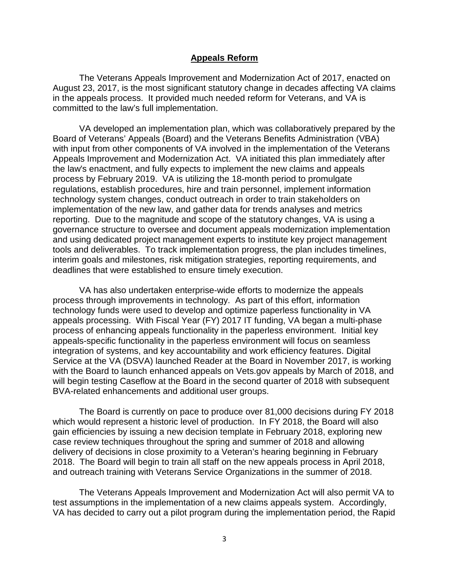#### **Appeals Reform**

The Veterans Appeals Improvement and Modernization Act of 2017, enacted on August 23, 2017, is the most significant statutory change in decades affecting VA claims in the appeals process. It provided much needed reform for Veterans, and VA is committed to the law's full implementation.

VA developed an implementation plan, which was collaboratively prepared by the Board of Veterans' Appeals (Board) and the Veterans Benefits Administration (VBA) with input from other components of VA involved in the implementation of the Veterans Appeals Improvement and Modernization Act. VA initiated this plan immediately after the law's enactment, and fully expects to implement the new claims and appeals process by February 2019. VA is utilizing the 18-month period to promulgate regulations, establish procedures, hire and train personnel, implement information technology system changes, conduct outreach in order to train stakeholders on implementation of the new law, and gather data for trends analyses and metrics reporting. Due to the magnitude and scope of the statutory changes, VA is using a governance structure to oversee and document appeals modernization implementation and using dedicated project management experts to institute key project management tools and deliverables. To track implementation progress, the plan includes timelines, interim goals and milestones, risk mitigation strategies, reporting requirements, and deadlines that were established to ensure timely execution.

VA has also undertaken enterprise-wide efforts to modernize the appeals process through improvements in technology. As part of this effort, information technology funds were used to develop and optimize paperless functionality in VA appeals processing. With Fiscal Year (FY) 2017 IT funding, VA began a multi-phase process of enhancing appeals functionality in the paperless environment. Initial key appeals-specific functionality in the paperless environment will focus on seamless integration of systems, and key accountability and work efficiency features. Digital Service at the VA (DSVA) launched Reader at the Board in November 2017, is working with the Board to launch enhanced appeals on Vets.gov appeals by March of 2018, and will begin testing Caseflow at the Board in the second quarter of 2018 with subsequent BVA-related enhancements and additional user groups.

The Board is currently on pace to produce over 81,000 decisions during FY 2018 which would represent a historic level of production. In FY 2018, the Board will also gain efficiencies by issuing a new decision template in February 2018, exploring new case review techniques throughout the spring and summer of 2018 and allowing delivery of decisions in close proximity to a Veteran's hearing beginning in February 2018. The Board will begin to train all staff on the new appeals process in April 2018, and outreach training with Veterans Service Organizations in the summer of 2018.

The Veterans Appeals Improvement and Modernization Act will also permit VA to test assumptions in the implementation of a new claims appeals system. Accordingly, VA has decided to carry out a pilot program during the implementation period, the Rapid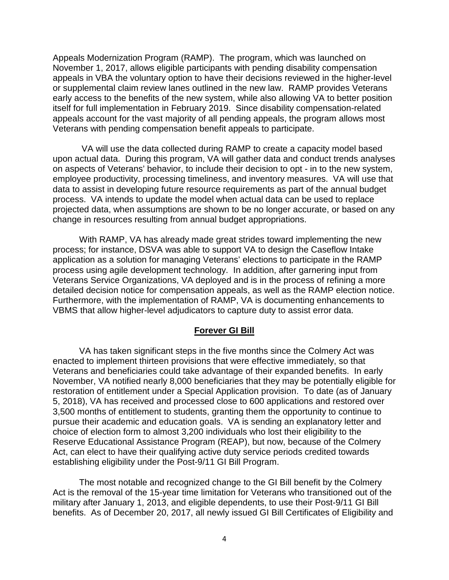Appeals Modernization Program (RAMP). The program, which was launched on November 1, 2017, allows eligible participants with pending disability compensation appeals in VBA the voluntary option to have their decisions reviewed in the higher-level or supplemental claim review lanes outlined in the new law. RAMP provides Veterans early access to the benefits of the new system, while also allowing VA to better position itself for full implementation in February 2019. Since disability compensation-related appeals account for the vast majority of all pending appeals, the program allows most Veterans with pending compensation benefit appeals to participate.

VA will use the data collected during RAMP to create a capacity model based upon actual data. During this program, VA will gather data and conduct trends analyses on aspects of Veterans' behavior, to include their decision to opt - in to the new system, employee productivity, processing timeliness, and inventory measures. VA will use that data to assist in developing future resource requirements as part of the annual budget process. VA intends to update the model when actual data can be used to replace projected data, when assumptions are shown to be no longer accurate, or based on any change in resources resulting from annual budget appropriations.

With RAMP, VA has already made great strides toward implementing the new process; for instance, DSVA was able to support VA to design the Caseflow Intake application as a solution for managing Veterans' elections to participate in the RAMP process using agile development technology. In addition, after garnering input from Veterans Service Organizations, VA deployed and is in the process of refining a more detailed decision notice for compensation appeals, as well as the RAMP election notice. Furthermore, with the implementation of RAMP, VA is documenting enhancements to VBMS that allow higher-level adjudicators to capture duty to assist error data.

### **Forever GI Bill**

VA has taken significant steps in the five months since the Colmery Act was enacted to implement thirteen provisions that were effective immediately, so that Veterans and beneficiaries could take advantage of their expanded benefits. In early November, VA notified nearly 8,000 beneficiaries that they may be potentially eligible for restoration of entitlement under a Special Application provision. To date (as of January 5, 2018), VA has received and processed close to 600 applications and restored over 3,500 months of entitlement to students, granting them the opportunity to continue to pursue their academic and education goals. VA is sending an explanatory letter and choice of election form to almost 3,200 individuals who lost their eligibility to the Reserve Educational Assistance Program (REAP), but now, because of the Colmery Act, can elect to have their qualifying active duty service periods credited towards establishing eligibility under the Post-9/11 GI Bill Program.

The most notable and recognized change to the GI Bill benefit by the Colmery Act is the removal of the 15-year time limitation for Veterans who transitioned out of the military after January 1, 2013, and eligible dependents, to use their Post-9/11 GI Bill benefits. As of December 20, 2017, all newly issued GI Bill Certificates of Eligibility and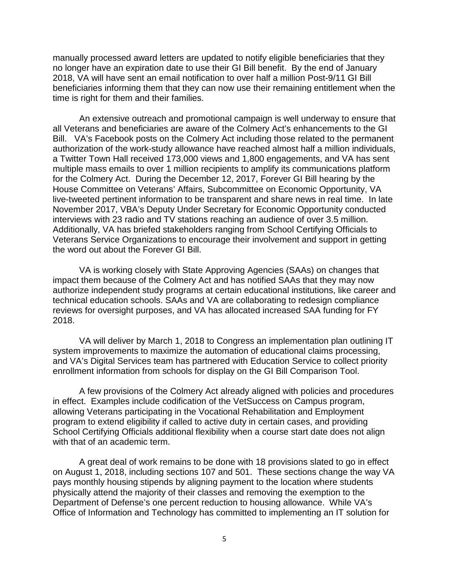manually processed award letters are updated to notify eligible beneficiaries that they no longer have an expiration date to use their GI Bill benefit. By the end of January 2018, VA will have sent an email notification to over half a million Post-9/11 GI Bill beneficiaries informing them that they can now use their remaining entitlement when the time is right for them and their families.

An extensive outreach and promotional campaign is well underway to ensure that all Veterans and beneficiaries are aware of the Colmery Act's enhancements to the GI Bill. VA's Facebook posts on the Colmery Act including those related to the permanent authorization of the work-study allowance have reached almost half a million individuals, a Twitter Town Hall received 173,000 views and 1,800 engagements, and VA has sent multiple mass emails to over 1 million recipients to amplify its communications platform for the Colmery Act. During the December 12, 2017, Forever GI Bill hearing by the House Committee on Veterans' Affairs, Subcommittee on Economic Opportunity, VA live-tweeted pertinent information to be transparent and share news in real time. In late November 2017, VBA's Deputy Under Secretary for Economic Opportunity conducted interviews with 23 radio and TV stations reaching an audience of over 3.5 million. Additionally, VA has briefed stakeholders ranging from School Certifying Officials to Veterans Service Organizations to encourage their involvement and support in getting the word out about the Forever GI Bill.

VA is working closely with State Approving Agencies (SAAs) on changes that impact them because of the Colmery Act and has notified SAAs that they may now authorize independent study programs at certain educational institutions, like career and technical education schools. SAAs and VA are collaborating to redesign compliance reviews for oversight purposes, and VA has allocated increased SAA funding for FY 2018.

VA will deliver by March 1, 2018 to Congress an implementation plan outlining IT system improvements to maximize the automation of educational claims processing, and VA's Digital Services team has partnered with Education Service to collect priority enrollment information from schools for display on the GI Bill Comparison Tool.

A few provisions of the Colmery Act already aligned with policies and procedures in effect. Examples include codification of the VetSuccess on Campus program, allowing Veterans participating in the Vocational Rehabilitation and Employment program to extend eligibility if called to active duty in certain cases, and providing School Certifying Officials additional flexibility when a course start date does not align with that of an academic term.

A great deal of work remains to be done with 18 provisions slated to go in effect on August 1, 2018, including sections 107 and 501. These sections change the way VA pays monthly housing stipends by aligning payment to the location where students physically attend the majority of their classes and removing the exemption to the Department of Defense's one percent reduction to housing allowance. While VA's Office of Information and Technology has committed to implementing an IT solution for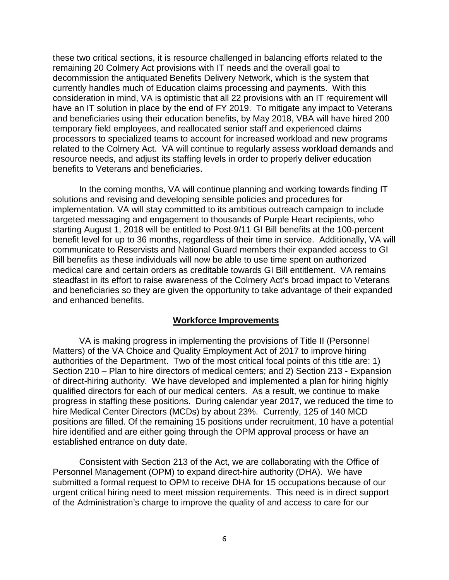these two critical sections, it is resource challenged in balancing efforts related to the remaining 20 Colmery Act provisions with IT needs and the overall goal to decommission the antiquated Benefits Delivery Network, which is the system that currently handles much of Education claims processing and payments. With this consideration in mind, VA is optimistic that all 22 provisions with an IT requirement will have an IT solution in place by the end of FY 2019. To mitigate any impact to Veterans and beneficiaries using their education benefits, by May 2018, VBA will have hired 200 temporary field employees, and reallocated senior staff and experienced claims processors to specialized teams to account for increased workload and new programs related to the Colmery Act. VA will continue to regularly assess workload demands and resource needs, and adjust its staffing levels in order to properly deliver education benefits to Veterans and beneficiaries.

In the coming months, VA will continue planning and working towards finding IT solutions and revising and developing sensible policies and procedures for implementation. VA will stay committed to its ambitious outreach campaign to include targeted messaging and engagement to thousands of Purple Heart recipients, who starting August 1, 2018 will be entitled to Post-9/11 GI Bill benefits at the 100-percent benefit level for up to 36 months, regardless of their time in service. Additionally, VA will communicate to Reservists and National Guard members their expanded access to GI Bill benefits as these individuals will now be able to use time spent on authorized medical care and certain orders as creditable towards GI Bill entitlement. VA remains steadfast in its effort to raise awareness of the Colmery Act's broad impact to Veterans and beneficiaries so they are given the opportunity to take advantage of their expanded and enhanced benefits.

### **Workforce Improvements**

VA is making progress in implementing the provisions of Title II (Personnel Matters) of the VA Choice and Quality Employment Act of 2017 to improve hiring authorities of the Department. Two of the most critical focal points of this title are: 1) Section 210 – Plan to hire directors of medical centers; and 2) Section 213 - Expansion of direct-hiring authority. We have developed and implemented a plan for hiring highly qualified directors for each of our medical centers. As a result, we continue to make progress in staffing these positions. During calendar year 2017, we reduced the time to hire Medical Center Directors (MCDs) by about 23%. Currently, 125 of 140 MCD positions are filled. Of the remaining 15 positions under recruitment, 10 have a potential hire identified and are either going through the OPM approval process or have an established entrance on duty date.

Consistent with Section 213 of the Act, we are collaborating with the Office of Personnel Management (OPM) to expand direct-hire authority (DHA). We have submitted a formal request to OPM to receive DHA for 15 occupations because of our urgent critical hiring need to meet mission requirements. This need is in direct support of the Administration's charge to improve the quality of and access to care for our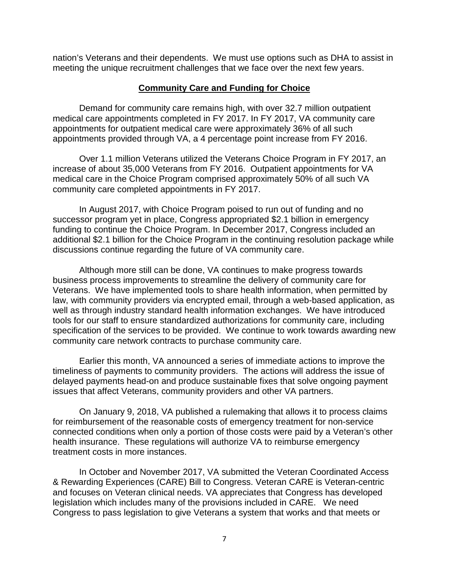nation's Veterans and their dependents. We must use options such as DHA to assist in meeting the unique recruitment challenges that we face over the next few years.

## **Community Care and Funding for Choice**

Demand for community care remains high, with over 32.7 million outpatient medical care appointments completed in FY 2017. In FY 2017, VA community care appointments for outpatient medical care were approximately 36% of all such appointments provided through VA, a 4 percentage point increase from FY 2016.

Over 1.1 million Veterans utilized the Veterans Choice Program in FY 2017, an increase of about 35,000 Veterans from FY 2016. Outpatient appointments for VA medical care in the Choice Program comprised approximately 50% of all such VA community care completed appointments in FY 2017.

In August 2017, with Choice Program poised to run out of funding and no successor program yet in place, Congress appropriated \$2.1 billion in emergency funding to continue the Choice Program. In December 2017, Congress included an additional \$2.1 billion for the Choice Program in the continuing resolution package while discussions continue regarding the future of VA community care.

Although more still can be done, VA continues to make progress towards business process improvements to streamline the delivery of community care for Veterans. We have implemented tools to share health information, when permitted by law, with community providers via encrypted email, through a web-based application, as well as through industry standard health information exchanges. We have introduced tools for our staff to ensure standardized authorizations for community care, including specification of the services to be provided. We continue to work towards awarding new community care network contracts to purchase community care.

Earlier this month, VA announced a series of immediate actions to improve the timeliness of payments to community providers. The actions will address the issue of delayed payments head-on and produce sustainable fixes that solve ongoing payment issues that affect Veterans, community providers and other VA partners.

On January 9, 2018, VA published a rulemaking that allows it to process claims for reimbursement of the reasonable costs of emergency treatment for non-service connected conditions when only a portion of those costs were paid by a Veteran's other health insurance. These regulations will authorize VA to reimburse emergency treatment costs in more instances.

In October and November 2017, VA submitted the Veteran Coordinated Access & Rewarding Experiences (CARE) Bill to Congress. Veteran CARE is Veteran-centric and focuses on Veteran clinical needs. VA appreciates that Congress has developed legislation which includes many of the provisions included in CARE. We need Congress to pass legislation to give Veterans a system that works and that meets or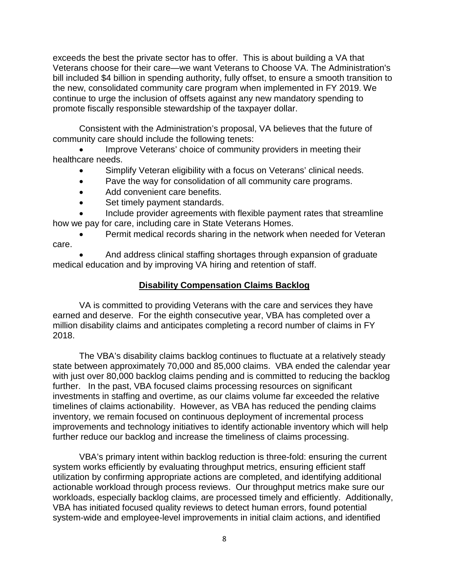exceeds the best the private sector has to offer. This is about building a VA that Veterans choose for their care—we want Veterans to Choose VA. The Administration's bill included \$4 billion in spending authority, fully offset, to ensure a smooth transition to the new, consolidated community care program when implemented in FY 2019. We continue to urge the inclusion of offsets against any new mandatory spending to promote fiscally responsible stewardship of the taxpayer dollar.

Consistent with the Administration's proposal, VA believes that the future of community care should include the following tenets:

Improve Veterans' choice of community providers in meeting their healthcare needs.

- Simplify Veteran eligibility with a focus on Veterans' clinical needs.
- Pave the way for consolidation of all community care programs.
- Add convenient care benefits.
- Set timely payment standards.

• Include provider agreements with flexible payment rates that streamline how we pay for care, including care in State Veterans Homes.

Permit medical records sharing in the network when needed for Veteran care.

• And address clinical staffing shortages through expansion of graduate medical education and by improving VA hiring and retention of staff.

# **Disability Compensation Claims Backlog**

VA is committed to providing Veterans with the care and services they have earned and deserve. For the eighth consecutive year, VBA has completed over a million disability claims and anticipates completing a record number of claims in FY 2018.

The VBA's disability claims backlog continues to fluctuate at a relatively steady state between approximately 70,000 and 85,000 claims. VBA ended the calendar year with just over 80,000 backlog claims pending and is committed to reducing the backlog further. In the past, VBA focused claims processing resources on significant investments in staffing and overtime, as our claims volume far exceeded the relative timelines of claims actionability. However, as VBA has reduced the pending claims inventory, we remain focused on continuous deployment of incremental process improvements and technology initiatives to identify actionable inventory which will help further reduce our backlog and increase the timeliness of claims processing.

VBA's primary intent within backlog reduction is three-fold: ensuring the current system works efficiently by evaluating throughput metrics, ensuring efficient staff utilization by confirming appropriate actions are completed, and identifying additional actionable workload through process reviews. Our throughput metrics make sure our workloads, especially backlog claims, are processed timely and efficiently. Additionally, VBA has initiated focused quality reviews to detect human errors, found potential system-wide and employee-level improvements in initial claim actions, and identified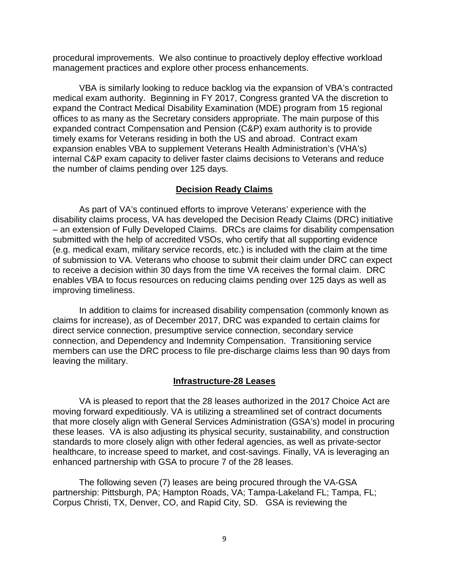procedural improvements. We also continue to proactively deploy effective workload management practices and explore other process enhancements.

VBA is similarly looking to reduce backlog via the expansion of VBA's contracted medical exam authority. Beginning in FY 2017, Congress granted VA the discretion to expand the Contract Medical Disability Examination (MDE) program from 15 regional offices to as many as the Secretary considers appropriate. The main purpose of this expanded contract Compensation and Pension (C&P) exam authority is to provide timely exams for Veterans residing in both the US and abroad. Contract exam expansion enables VBA to supplement Veterans Health Administration's (VHA's) internal C&P exam capacity to deliver faster claims decisions to Veterans and reduce the number of claims pending over 125 days.

## **Decision Ready Claims**

As part of VA's continued efforts to improve Veterans' experience with the disability claims process, VA has developed the Decision Ready Claims (DRC) initiative – an extension of Fully Developed Claims. DRCs are claims for disability compensation submitted with the help of accredited VSOs, who certify that all supporting evidence (e.g. medical exam, military service records, etc.) is included with the claim at the time of submission to VA. Veterans who choose to submit their claim under DRC can expect to receive a decision within 30 days from the time VA receives the formal claim. DRC enables VBA to focus resources on reducing claims pending over 125 days as well as improving timeliness.

In addition to claims for increased disability compensation (commonly known as claims for increase), as of December 2017, DRC was expanded to certain claims for direct service connection, presumptive service connection, secondary service connection, and Dependency and Indemnity Compensation. Transitioning service members can use the DRC process to file pre-discharge claims less than 90 days from leaving the military.

### **Infrastructure-28 Leases**

VA is pleased to report that the 28 leases authorized in the 2017 Choice Act are moving forward expeditiously. VA is utilizing a streamlined set of contract documents that more closely align with General Services Administration (GSA's) model in procuring these leases. VA is also adjusting its physical security, sustainability, and construction standards to more closely align with other federal agencies, as well as private-sector healthcare, to increase speed to market, and cost-savings. Finally, VA is leveraging an enhanced partnership with GSA to procure 7 of the 28 leases.

The following seven (7) leases are being procured through the VA-GSA partnership: Pittsburgh, PA; Hampton Roads, VA; Tampa-Lakeland FL; Tampa, FL; Corpus Christi, TX, Denver, CO, and Rapid City, SD. GSA is reviewing the